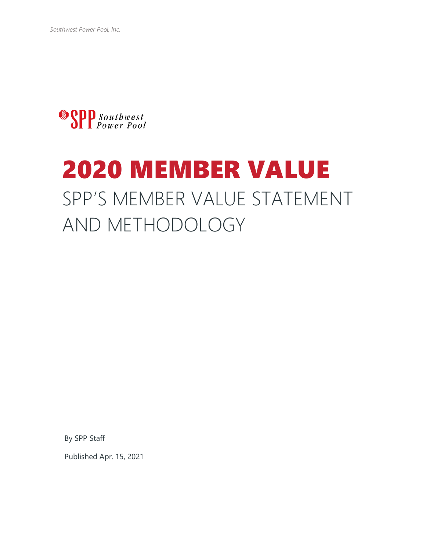

# 2020 MEMBER VALUE SPP'S MEMBER VALUE STATEMENT AND METHODOLOGY

By SPP Staff

Published Apr. 15, 2021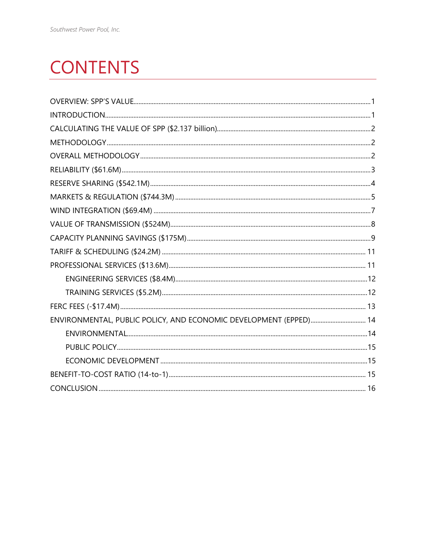## **CONTENTS**

| ENVIRONMENTAL, PUBLIC POLICY, AND ECONOMIC DEVELOPMENT (EPPED) 14 |  |
|-------------------------------------------------------------------|--|
|                                                                   |  |
|                                                                   |  |
|                                                                   |  |
|                                                                   |  |
|                                                                   |  |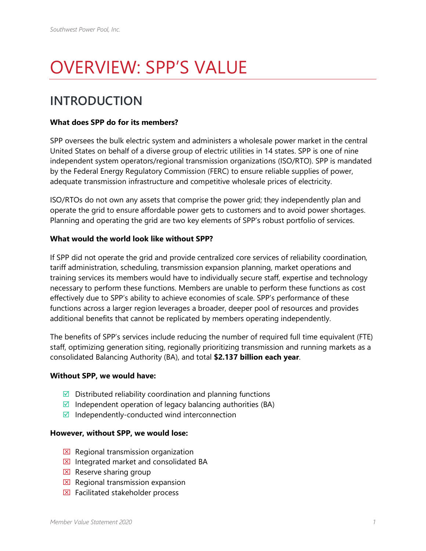## <span id="page-2-0"></span>OVERVIEW: SPP'S VALUE

#### <span id="page-2-1"></span>**INTRODUCTION**

#### **What does SPP do for its members?**

SPP oversees the bulk electric system and administers a wholesale power market in the central United States on behalf of a diverse group of electric utilities in 14 states. SPP is one of nine independent system operators/regional transmission organizations (ISO/RTO). SPP is mandated by the Federal Energy Regulatory Commission (FERC) to ensure reliable supplies of power, adequate transmission infrastructure and competitive wholesale prices of electricity.

ISO/RTOs do not own any assets that comprise the power grid; they independently plan and operate the grid to ensure affordable power gets to customers and to avoid power shortages. Planning and operating the grid are two key elements of SPP's robust portfolio of services.

#### **What would the world look like without SPP?**

If SPP did not operate the grid and provide centralized core services of reliability coordination, tariff administration, scheduling, transmission expansion planning, market operations and training services its members would have to individually secure staff, expertise and technology necessary to perform these functions. Members are unable to perform these functions as cost effectively due to SPP's ability to achieve economies of scale. SPP's performance of these functions across a larger region leverages a broader, deeper pool of resources and provides additional benefits that cannot be replicated by members operating independently.

The benefits of SPP's services include reducing the number of required full time equivalent (FTE) staff, optimizing generation siting, regionally prioritizing transmission and running markets as a consolidated Balancing Authority (BA), and total **\$2.137 billion each year**.

#### **Without SPP, we would have:**

- $\boxtimes$  Distributed reliability coordination and planning functions
- $\boxtimes$  Independent operation of legacy balancing authorities (BA)
- $\blacksquare$  Independently-conducted wind interconnection

#### **However, without SPP, we would lose:**

- $\boxtimes$  Regional transmission organization
- $\Sigma$  Integrated market and consolidated BA
- $\boxtimes$  Reserve sharing group
- $\boxtimes$  Regional transmission expansion
- $\boxtimes$  Facilitated stakeholder process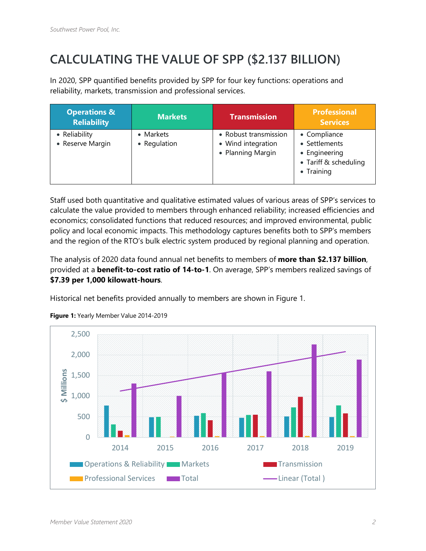## <span id="page-3-0"></span>**CALCULATING THE VALUE OF SPP (\$2.137 BILLION)**

In 2020, SPP quantified benefits provided by SPP for four key functions: operations and reliability, markets, transmission and professional services.

| <b>Operations &amp;</b><br><b>Reliability</b> | <b>Markets</b>            | <b>Transmission</b>                                              | <b>Professional</b><br><b>Services</b>                                                |
|-----------------------------------------------|---------------------------|------------------------------------------------------------------|---------------------------------------------------------------------------------------|
| • Reliability<br>• Reserve Margin             | • Markets<br>• Regulation | • Robust transmission<br>• Wind integration<br>• Planning Margin | • Compliance<br>• Settlements<br>• Engineering<br>• Tariff & scheduling<br>• Training |

Staff used both quantitative and qualitative estimated values of various areas of SPP's services to calculate the value provided to members through enhanced reliability; increased efficiencies and economics; consolidated functions that reduced resources; and improved environmental, public policy and local economic impacts. This methodology captures benefits both to SPP's members and the region of the RTO's bulk electric system produced by regional planning and operation.

The analysis of 2020 data found annual net benefits to members of **more than \$2.137 billion**, provided at a **benefit-to-cost ratio of 14-to-1**. On average, SPP's members realized savings of **\$7.39 per 1,000 kilowatt-hours**.

Historical net benefits provided annually to members are shown in Figure 1.



**Figure 1:** Yearly Member Value 2014-2019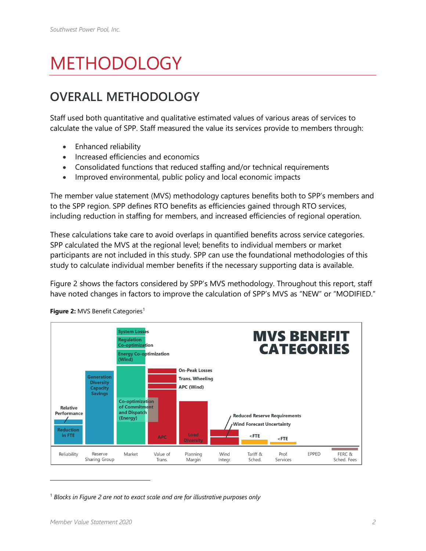## <span id="page-4-0"></span>METHODOLOGY

## <span id="page-4-1"></span>**OVERALL METHODOLOGY**

Staff used both quantitative and qualitative estimated values of various areas of services to calculate the value of SPP. Staff measured the value its services provide to members through:

- Enhanced reliability
- Increased efficiencies and economics
- Consolidated functions that reduced staffing and/or technical requirements
- Improved environmental, public policy and local economic impacts

The member value statement (MVS) methodology captures benefits both to SPP's members and to the SPP region. SPP defines RTO benefits as efficiencies gained through RTO services, including reduction in staffing for members, and increased efficiencies of regional operation.

These calculations take care to avoid overlaps in quantified benefits across service categories. SPP calculated the MVS at the regional level; benefits to individual members or market participants are not included in this study. SPP can use the foundational methodologies of this study to calculate individual member benefits if the necessary supporting data is available.

Figure 2 shows the factors considered by SPP's MVS methodology. Throughout this report, staff have noted changes in factors to improve the calculation of SPP's MVS as "NEW" or "MODIFIED."



Figure 2: MVS Benefit Categories<sup>[1](#page-4-2)</sup>

<span id="page-4-2"></span><sup>1</sup> *Blocks in Figure 2 are not to exact scale and are for illustrative purposes only*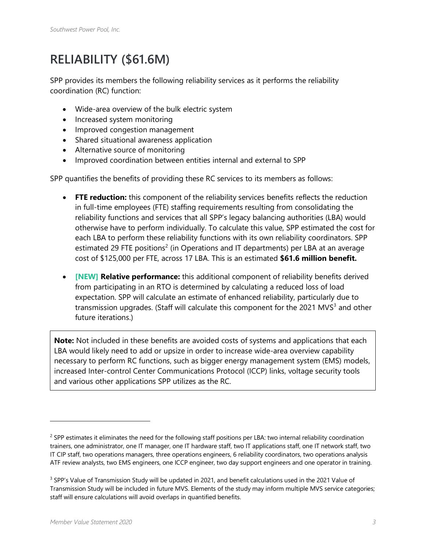## <span id="page-5-0"></span>**RELIABILITY (\$61.6M)**

SPP provides its members the following reliability services as it performs the reliability coordination (RC) function:

- Wide-area overview of the bulk electric system
- Increased system monitoring
- Improved congestion management
- Shared situational awareness application
- Alternative source of monitoring
- Improved coordination between entities internal and external to SPP

SPP quantifies the benefits of providing these RC services to its members as follows:

- **FTE reduction:** this component of the reliability services benefits reflects the reduction in full-time employees (FTE) staffing requirements resulting from consolidating the reliability functions and services that all SPP's legacy balancing authorities (LBA) would otherwise have to perform individually. To calculate this value, SPP estimated the cost for each LBA to perform these reliability functions with its own reliability coordinators. SPP estimated [2](#page-5-1)9 FTE positions<sup>2</sup> (in Operations and IT departments) per LBA at an average cost of \$125,000 per FTE, across 17 LBA. This is an estimated **\$61.6 million benefit.**
- **[NEW] Relative performance:** this additional component of reliability benefits derived from participating in an RTO is determined by calculating a reduced loss of load expectation. SPP will calculate an estimate of enhanced reliability, particularly due to transmission upgrades. (Staff will calculate this component for the 2021 MVS $3$  and other future iterations.)

**Note:** Not included in these benefits are avoided costs of systems and applications that each LBA would likely need to add or upsize in order to increase wide-area overview capability necessary to perform RC functions, such as bigger energy management system (EMS) models, increased Inter-control Center Communications Protocol (ICCP) links, voltage security tools and various other applications SPP utilizes as the RC.

<span id="page-5-1"></span> $2$  SPP estimates it eliminates the need for the following staff positions per LBA: two internal reliability coordination trainers, one administrator, one IT manager, one IT hardware staff, two IT applications staff, one IT network staff, two IT CIP staff, two operations managers, three operations engineers, 6 reliability coordinators, two operations analysis ATF review analysts, two EMS engineers, one ICCP engineer, two day support engineers and one operator in training.

<span id="page-5-2"></span><sup>&</sup>lt;sup>3</sup> SPP's Value of Transmission Study will be updated in 2021, and benefit calculations used in the 2021 Value of Transmission Study will be included in future MVS. Elements of the study may inform multiple MVS service categories; staff will ensure calculations will avoid overlaps in quantified benefits.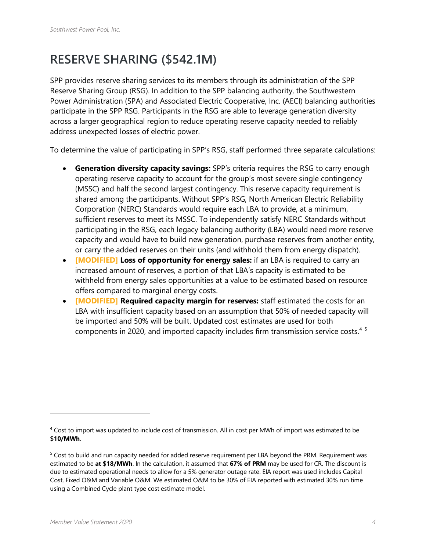#### <span id="page-6-0"></span>**RESERVE SHARING (\$542.1M)**

SPP provides reserve sharing services to its members through its administration of the SPP Reserve Sharing Group (RSG). In addition to the SPP balancing authority, the Southwestern Power Administration (SPA) and Associated Electric Cooperative, Inc. (AECI) balancing authorities participate in the SPP RSG. Participants in the RSG are able to leverage generation diversity across a larger geographical region to reduce operating reserve capacity needed to reliably address unexpected losses of electric power.

To determine the value of participating in SPP's RSG, staff performed three separate calculations:

- **Generation diversity capacity savings:** SPP's criteria requires the RSG to carry enough operating reserve capacity to account for the group's most severe single contingency (MSSC) and half the second largest contingency. This reserve capacity requirement is shared among the participants. Without SPP's RSG, North American Electric Reliability Corporation (NERC) Standards would require each LBA to provide, at a minimum, sufficient reserves to meet its MSSC. To independently satisfy NERC Standards without participating in the RSG, each legacy balancing authority (LBA) would need more reserve capacity and would have to build new generation, purchase reserves from another entity, or carry the added reserves on their units (and withhold them from energy dispatch).
- **[MODIFIED] Loss of opportunity for energy sales:** if an LBA is required to carry an increased amount of reserves, a portion of that LBA's capacity is estimated to be withheld from energy sales opportunities at a value to be estimated based on resource offers compared to marginal energy costs.
- **[MODIFIED] Required capacity margin for reserves:** staff estimated the costs for an LBA with insufficient capacity based on an assumption that 50% of needed capacity will be imported and 50% will be built. Updated cost estimates are used for both components in 2020, and imported capacity includes firm transmission service costs. [4](#page-6-1) [5](#page-6-2)

<span id="page-6-1"></span><sup>4</sup> Cost to import was updated to include cost of transmission. All in cost per MWh of import was estimated to be **\$10/MWh**.

<span id="page-6-2"></span><sup>&</sup>lt;sup>5</sup> Cost to build and run capacity needed for added reserve requirement per LBA beyond the PRM. Requirement was estimated to be **at \$18/MWh**. In the calculation, it assumed that **67% of PRM** may be used for CR. The discount is due to estimated operational needs to allow for a 5% generator outage rate. EIA report was used includes Capital Cost, Fixed O&M and Variable O&M. We estimated O&M to be 30% of EIA reported with estimated 30% run time using a Combined Cycle plant type cost estimate model.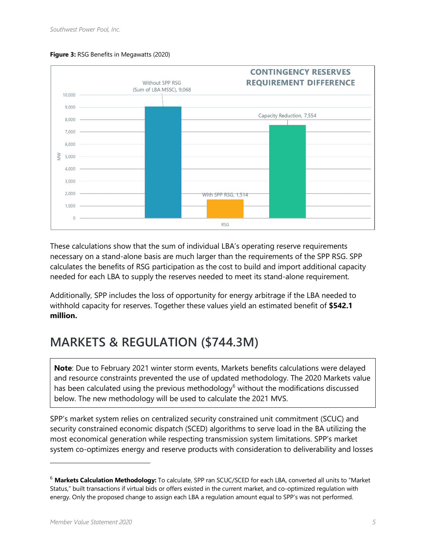

#### **Figure 3:** RSG Benefits in Megawatts (2020)

These calculations show that the sum of individual LBA's operating reserve requirements necessary on a stand-alone basis are much larger than the requirements of the SPP RSG. SPP calculates the benefits of RSG participation as the cost to build and import additional capacity needed for each LBA to supply the reserves needed to meet its stand-alone requirement.

Additionally, SPP includes the loss of opportunity for energy arbitrage if the LBA needed to withhold capacity for reserves. Together these values yield an estimated benefit of **\$542.1 million.** 

### <span id="page-7-0"></span>**MARKETS & REGULATION (\$744.3M)**

**Note**: Due to February 2021 winter storm events, Markets benefits calculations were delayed and resource constraints prevented the use of updated methodology. The 2020 Markets value has been calculated using the previous methodology<sup>[6](#page-7-1)</sup> without the modifications discussed below. The new methodology will be used to calculate the 2021 MVS.

SPP's market system relies on centralized security constrained unit commitment (SCUC) and security constrained economic dispatch (SCED) algorithms to serve load in the BA utilizing the most economical generation while respecting transmission system limitations. SPP's market system co-optimizes energy and reserve products with consideration to deliverability and losses

<span id="page-7-1"></span><sup>6</sup> **Markets Calculation Methodology:** To calculate, SPP ran SCUC/SCED for each LBA, converted all units to "Market Status," built transactions if virtual bids or offers existed in the current market, and co-optimized regulation with energy. Only the proposed change to assign each LBA a regulation amount equal to SPP's was not performed.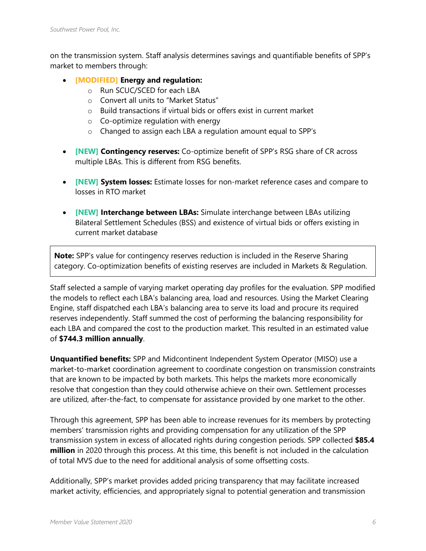on the transmission system. Staff analysis determines savings and quantifiable benefits of SPP's market to members through:

- **[MODIFIED] Energy and regulation:**
	- o Run SCUC/SCED for each LBA
	- o Convert all units to "Market Status"
	- o Build transactions if virtual bids or offers exist in current market
	- o Co-optimize regulation with energy
	- o Changed to assign each LBA a regulation amount equal to SPP's
- **[NEW] Contingency reserves:** Co-optimize benefit of SPP's RSG share of CR across multiple LBAs. This is different from RSG benefits.
- **[NEW] System losses:** Estimate losses for non-market reference cases and compare to losses in RTO market
- **[NEW] Interchange between LBAs:** Simulate interchange between LBAs utilizing Bilateral Settlement Schedules (BSS) and existence of virtual bids or offers existing in current market database

**Note:** SPP's value for contingency reserves reduction is included in the Reserve Sharing category. Co-optimization benefits of existing reserves are included in Markets & Regulation.

Staff selected a sample of varying market operating day profiles for the evaluation. SPP modified the models to reflect each LBA's balancing area, load and resources. Using the Market Clearing Engine, staff dispatched each LBA's balancing area to serve its load and procure its required reserves independently. Staff summed the cost of performing the balancing responsibility for each LBA and compared the cost to the production market. This resulted in an estimated value of **\$744.3 million annually**.

**Unquantified benefits:** SPP and Midcontinent Independent System Operator (MISO) use a market-to-market coordination agreement to coordinate congestion on transmission constraints that are known to be impacted by both markets. This helps the markets more economically resolve that congestion than they could otherwise achieve on their own. Settlement processes are utilized, after-the-fact, to compensate for assistance provided by one market to the other.

Through this agreement, SPP has been able to increase revenues for its members by protecting members' transmission rights and providing compensation for any utilization of the SPP transmission system in excess of allocated rights during congestion periods. SPP collected **\$85.4 million** in 2020 through this process. At this time, this benefit is not included in the calculation of total MVS due to the need for additional analysis of some offsetting costs.

Additionally, SPP's market provides added pricing transparency that may facilitate increased market activity, efficiencies, and appropriately signal to potential generation and transmission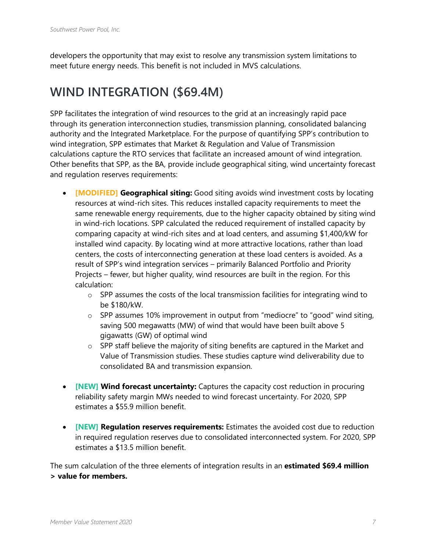developers the opportunity that may exist to resolve any transmission system limitations to meet future energy needs. This benefit is not included in MVS calculations.

#### <span id="page-9-0"></span>**WIND INTEGRATION (\$69.4M)**

SPP facilitates the integration of wind resources to the grid at an increasingly rapid pace through its generation interconnection studies, transmission planning, consolidated balancing authority and the Integrated Marketplace. For the purpose of quantifying SPP's contribution to wind integration, SPP estimates that Market & Regulation and Value of Transmission calculations capture the RTO services that facilitate an increased amount of wind integration. Other benefits that SPP, as the BA, provide include geographical siting, wind uncertainty forecast and regulation reserves requirements:

- **[MODIFIED] Geographical siting:** Good siting avoids wind investment costs by locating resources at wind-rich sites. This reduces installed capacity requirements to meet the same renewable energy requirements, due to the higher capacity obtained by siting wind in wind-rich locations. SPP calculated the reduced requirement of installed capacity by comparing capacity at wind-rich sites and at load centers, and assuming \$1,400/kW for installed wind capacity. By locating wind at more attractive locations, rather than load centers, the costs of interconnecting generation at these load centers is avoided. As a result of SPP's wind integration services – primarily Balanced Portfolio and Priority Projects – fewer, but higher quality, wind resources are built in the region. For this calculation:
	- o SPP assumes the costs of the local transmission facilities for integrating wind to be \$180/kW.
	- o SPP assumes 10% improvement in output from "mediocre" to "good" wind siting, saving 500 megawatts (MW) of wind that would have been built above 5 gigawatts (GW) of optimal wind
	- o SPP staff believe the majority of siting benefits are captured in the Market and Value of Transmission studies. These studies capture wind deliverability due to consolidated BA and transmission expansion.
- **[NEW] Wind forecast uncertainty:** Captures the capacity cost reduction in procuring reliability safety margin MWs needed to wind forecast uncertainty. For 2020, SPP estimates a \$55.9 million benefit.
- **[NEW] Regulation reserves requirements:** Estimates the avoided cost due to reduction in required regulation reserves due to consolidated interconnected system. For 2020, SPP estimates a \$13.5 million benefit.

The sum calculation of the three elements of integration results in an **estimated \$69.4 million > value for members.**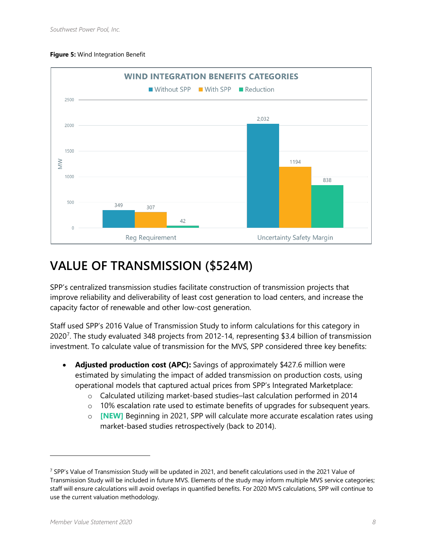#### **Figure 5:** Wind Integration Benefit



#### <span id="page-10-0"></span>**VALUE OF TRANSMISSION (\$524M)**

SPP's centralized transmission studies facilitate construction of transmission projects that improve reliability and deliverability of least cost generation to load centers, and increase the capacity factor of renewable and other low-cost generation.

Staff used SPP's 2016 Value of Transmission Study to inform calculations for this category in 2020<sup>[7](#page-10-1)</sup>. The study evaluated 348 projects from 2012-14, representing \$3.4 billion of transmission investment. To calculate value of transmission for the MVS, SPP considered three key benefits:

- **Adjusted production cost (APC):** Savings of approximately \$427.6 million were estimated by simulating the impact of added transmission on production costs, using operational models that captured actual prices from SPP's Integrated Marketplace:
	- o Calculated utilizing market-based studies–last calculation performed in 2014
	- $\circ$  10% escalation rate used to estimate benefits of upgrades for subsequent years.
	- o **[NEW]** Beginning in 2021, SPP will calculate more accurate escalation rates using market-based studies retrospectively (back to 2014).

<span id="page-10-1"></span> $7$  SPP's Value of Transmission Study will be updated in 2021, and benefit calculations used in the 2021 Value of Transmission Study will be included in future MVS. Elements of the study may inform multiple MVS service categories; staff will ensure calculations will avoid overlaps in quantified benefits. For 2020 MVS calculations, SPP will continue to use the current valuation methodology.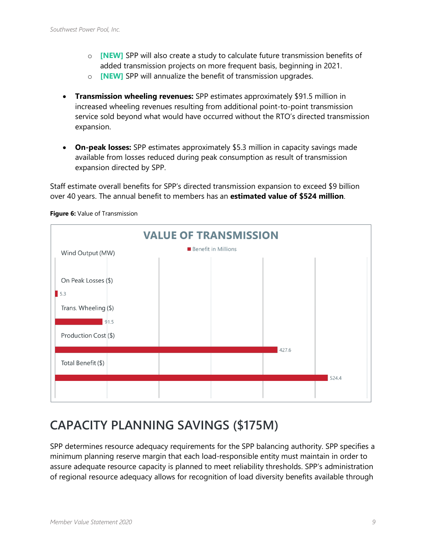- o **[NEW]** SPP will also create a study to calculate future transmission benefits of added transmission projects on more frequent basis, beginning in 2021.
- o **[NEW]** SPP will annualize the benefit of transmission upgrades.
- **Transmission wheeling revenues:** SPP estimates approximately \$91.5 million in increased wheeling revenues resulting from additional point-to-point transmission service sold beyond what would have occurred without the RTO's directed transmission expansion.
- **On-peak losses:** SPP estimates approximately \$5.3 million in capacity savings made available from losses reduced during peak consumption as result of transmission expansion directed by SPP.

Staff estimate overall benefits for SPP's directed transmission expansion to exceed \$9 billion over 40 years. The annual benefit to members has an **estimated value of \$524 million**.



**Figure 6:** Value of Transmission

#### <span id="page-11-0"></span>**CAPACITY PLANNING SAVINGS (\$175M)**

SPP determines resource adequacy requirements for the SPP balancing authority. SPP specifies a minimum planning reserve margin that each load-responsible entity must maintain in order to assure adequate resource capacity is planned to meet reliability thresholds. SPP's administration of regional resource adequacy allows for recognition of load diversity benefits available through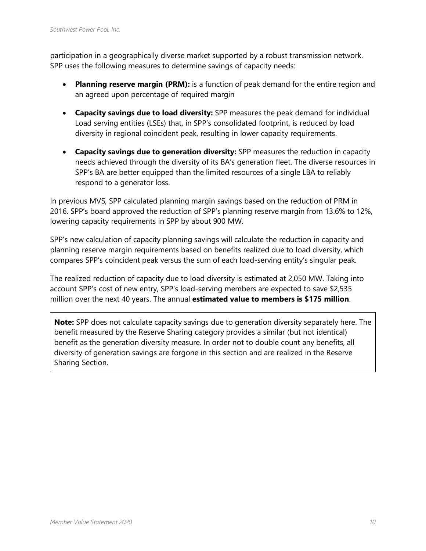participation in a geographically diverse market supported by a robust transmission network. SPP uses the following measures to determine savings of capacity needs:

- **Planning reserve margin (PRM):** is a function of peak demand for the entire region and an agreed upon percentage of required margin
- **Capacity savings due to load diversity:** SPP measures the peak demand for individual Load serving entities (LSEs) that, in SPP's consolidated footprint, is reduced by load diversity in regional coincident peak, resulting in lower capacity requirements.
- **Capacity savings due to generation diversity:** SPP measures the reduction in capacity needs achieved through the diversity of its BA's generation fleet. The diverse resources in SPP's BA are better equipped than the limited resources of a single LBA to reliably respond to a generator loss.

In previous MVS, SPP calculated planning margin savings based on the reduction of PRM in 2016. SPP's board approved the reduction of SPP's planning reserve margin from 13.6% to 12%, lowering capacity requirements in SPP by about 900 MW.

SPP's new calculation of capacity planning savings will calculate the reduction in capacity and planning reserve margin requirements based on benefits realized due to load diversity, which compares SPP's coincident peak versus the sum of each load-serving entity's singular peak.

The realized reduction of capacity due to load diversity is estimated at 2,050 MW. Taking into account SPP's cost of new entry, SPP's load-serving members are expected to save \$2,535 million over the next 40 years. The annual **estimated value to members is \$175 million**.

**Note:** SPP does not calculate capacity savings due to generation diversity separately here. The benefit measured by the Reserve Sharing category provides a similar (but not identical) benefit as the generation diversity measure. In order not to double count any benefits, all diversity of generation savings are forgone in this section and are realized in the Reserve Sharing Section.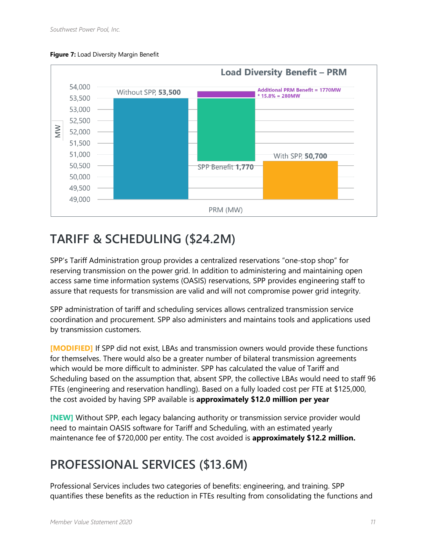



#### <span id="page-13-0"></span>**TARIFF & SCHEDULING (\$24.2M)**

SPP's Tariff Administration group provides a centralized reservations "one-stop shop" for reserving transmission on the power grid. In addition to administering and maintaining open access same time information systems (OASIS) reservations, SPP provides engineering staff to assure that requests for transmission are valid and will not compromise power grid integrity.

SPP administration of tariff and scheduling services allows centralized transmission service coordination and procurement. SPP also administers and maintains tools and applications used by transmission customers.

**[MODIFIED]** If SPP did not exist, LBAs and transmission owners would provide these functions for themselves. There would also be a greater number of bilateral transmission agreements which would be more difficult to administer. SPP has calculated the value of Tariff and Scheduling based on the assumption that, absent SPP, the collective LBAs would need to staff 96 FTEs (engineering and reservation handling). Based on a fully loaded cost per FTE at \$125,000, the cost avoided by having SPP available is **approximately \$12.0 million per year**

**[NEW]** Without SPP, each legacy balancing authority or transmission service provider would need to maintain OASIS software for Tariff and Scheduling, with an estimated yearly maintenance fee of \$720,000 per entity. The cost avoided is **approximately \$12.2 million.**

## <span id="page-13-1"></span>**PROFESSIONAL SERVICES (\$13.6M)**

Professional Services includes two categories of benefits: engineering, and training. SPP quantifies these benefits as the reduction in FTEs resulting from consolidating the functions and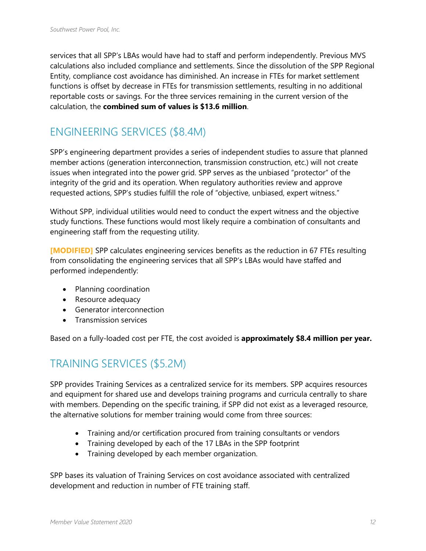services that all SPP's LBAs would have had to staff and perform independently. Previous MVS calculations also included compliance and settlements. Since the dissolution of the SPP Regional Entity, compliance cost avoidance has diminished. An increase in FTEs for market settlement functions is offset by decrease in FTEs for transmission settlements, resulting in no additional reportable costs or savings. For the three services remaining in the current version of the calculation, the **combined sum of values is \$13.6 million**.

#### <span id="page-14-0"></span>ENGINEERING SERVICES (\$8.4M)

SPP's engineering department provides a series of independent studies to assure that planned member actions (generation interconnection, transmission construction, etc.) will not create issues when integrated into the power grid. SPP serves as the unbiased "protector" of the integrity of the grid and its operation. When regulatory authorities review and approve requested actions, SPP's studies fulfill the role of "objective, unbiased, expert witness."

Without SPP, individual utilities would need to conduct the expert witness and the objective study functions. These functions would most likely require a combination of consultants and engineering staff from the requesting utility.

**[MODIFIED]** SPP calculates engineering services benefits as the reduction in 67 FTEs resulting from consolidating the engineering services that all SPP's LBAs would have staffed and performed independently:

- Planning coordination
- Resource adequacy
- Generator interconnection
- Transmission services

Based on a fully-loaded cost per FTE, the cost avoided is **approximately \$8.4 million per year.**

#### <span id="page-14-1"></span>TRAINING SERVICES (\$5.2M)

SPP provides Training Services as a centralized service for its members. SPP acquires resources and equipment for shared use and develops training programs and curricula centrally to share with members. Depending on the specific training, if SPP did not exist as a leveraged resource, the alternative solutions for member training would come from three sources:

- Training and/or certification procured from training consultants or vendors
- Training developed by each of the 17 LBAs in the SPP footprint
- Training developed by each member organization.

SPP bases its valuation of Training Services on cost avoidance associated with centralized development and reduction in number of FTE training staff.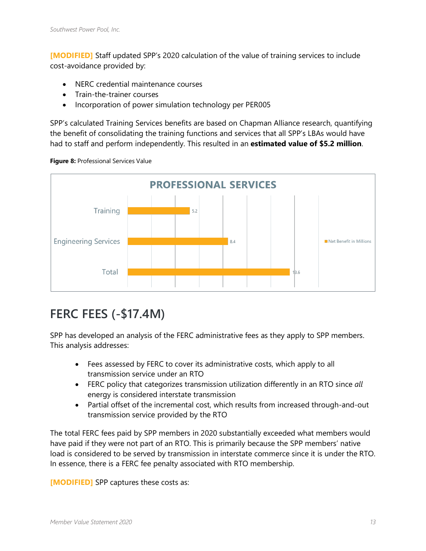**[MODIFIED]** Staff updated SPP's 2020 calculation of the value of training services to include cost-avoidance provided by:

- NERC credential maintenance courses
- Train-the-trainer courses
- Incorporation of power simulation technology per PER005

SPP's calculated Training Services benefits are based on Chapman Alliance research, quantifying the benefit of consolidating the training functions and services that all SPP's LBAs would have had to staff and perform independently. This resulted in an **estimated value of \$5.2 million**.





### <span id="page-15-0"></span>**FERC FEES (-\$17.4M)**

SPP has developed an analysis of the FERC administrative fees as they apply to SPP members. This analysis addresses:

- Fees assessed by FERC to cover its administrative costs, which apply to all transmission service under an RTO
- FERC policy that categorizes transmission utilization differently in an RTO since *all* energy is considered interstate transmission
- Partial offset of the incremental cost, which results from increased through-and-out transmission service provided by the RTO

The total FERC fees paid by SPP members in 2020 substantially exceeded what members would have paid if they were not part of an RTO. This is primarily because the SPP members' native load is considered to be served by transmission in interstate commerce since it is under the RTO. In essence, there is a FERC fee penalty associated with RTO membership.

**[MODIFIED]** SPP captures these costs as: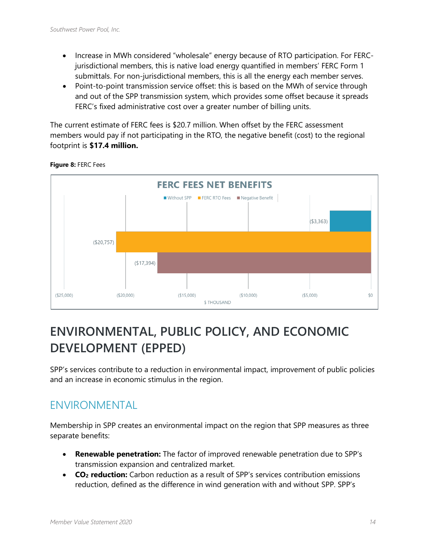- Increase in MWh considered "wholesale" energy because of RTO participation. For FERCjurisdictional members, this is native load energy quantified in members' FERC Form 1 submittals. For non-jurisdictional members, this is all the energy each member serves.
- Point-to-point transmission service offset: this is based on the MWh of service through and out of the SPP transmission system, which provides some offset because it spreads FERC's fixed administrative cost over a greater number of billing units.

The current estimate of FERC fees is \$20.7 million. When offset by the FERC assessment members would pay if not participating in the RTO, the negative benefit (cost) to the regional footprint is **\$17.4 million.**



#### **Figure 8:** FERC Fees

### <span id="page-16-0"></span>**ENVIRONMENTAL, PUBLIC POLICY, AND ECONOMIC DEVELOPMENT (EPPED)**

SPP's services contribute to a reduction in environmental impact, improvement of public policies and an increase in economic stimulus in the region.

#### <span id="page-16-1"></span>ENVIRONMENTAL

Membership in SPP creates an environmental impact on the region that SPP measures as three separate benefits:

- **Renewable penetration:** The factor of improved renewable penetration due to SPP's transmission expansion and centralized market.
- **CO<sub>2</sub> reduction:** Carbon reduction as a result of SPP's services contribution emissions reduction, defined as the difference in wind generation with and without SPP. SPP's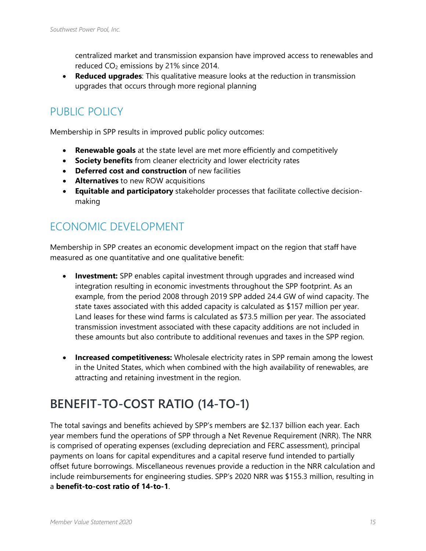centralized market and transmission expansion have improved access to renewables and reduced  $CO<sub>2</sub>$  emissions by 21% since 2014.

• **Reduced upgrades**: This qualitative measure looks at the reduction in transmission upgrades that occurs through more regional planning

#### <span id="page-17-0"></span>PUBLIC POLICY

Membership in SPP results in improved public policy outcomes:

- **Renewable goals** at the state level are met more efficiently and competitively
- **Society benefits** from cleaner electricity and lower electricity rates
- **Deferred cost and construction** of new facilities
- **Alternatives** to new ROW acquisitions
- **Equitable and participatory** stakeholder processes that facilitate collective decisionmaking

#### <span id="page-17-1"></span>ECONOMIC DEVELOPMENT

Membership in SPP creates an economic development impact on the region that staff have measured as one quantitative and one qualitative benefit:

- **Investment:** SPP enables capital investment through upgrades and increased wind integration resulting in economic investments throughout the SPP footprint. As an example, from the period 2008 through 2019 SPP added 24.4 GW of wind capacity. The state taxes associated with this added capacity is calculated as \$157 million per year. Land leases for these wind farms is calculated as \$73.5 million per year. The associated transmission investment associated with these capacity additions are not included in these amounts but also contribute to additional revenues and taxes in the SPP region.
- **Increased competitiveness:** Wholesale electricity rates in SPP remain among the lowest in the United States, which when combined with the high availability of renewables, are attracting and retaining investment in the region.

### <span id="page-17-2"></span>**BENEFIT-TO-COST RATIO (14-TO-1)**

The total savings and benefits achieved by SPP's members are \$2.137 billion each year. Each year members fund the operations of SPP through a Net Revenue Requirement (NRR). The NRR is comprised of operating expenses (excluding depreciation and FERC assessment), principal payments on loans for capital expenditures and a capital reserve fund intended to partially offset future borrowings. Miscellaneous revenues provide a reduction in the NRR calculation and include reimbursements for engineering studies. SPP's 2020 NRR was \$155.3 million, resulting in a **benefit-to-cost ratio of 14-to-1**.